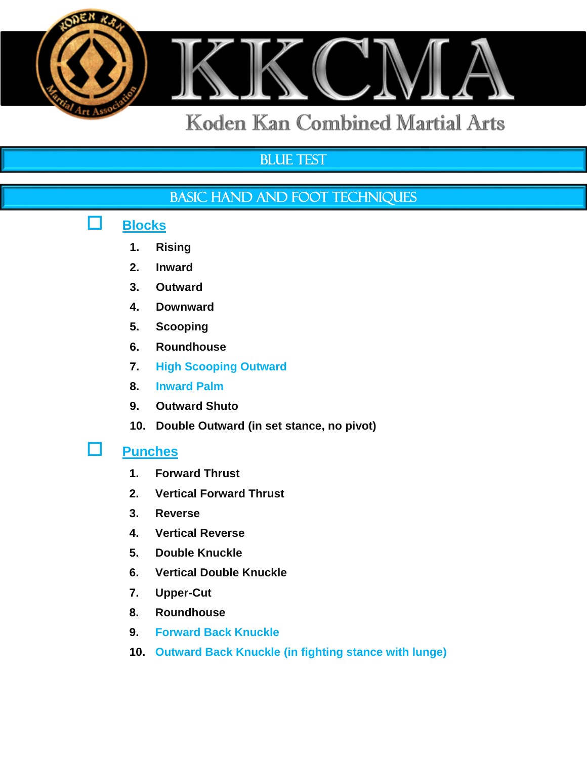

# **BLUE TEST**

## BASIC HAND AND FOOT TECHNIQUES

# **Blocks**

- **1. Rising**
- **2. Inward**
- **3. Outward**
- **4. Downward**
- **5. Scooping**
- **6. Roundhouse**
- **7. High Scooping Outward**
- **8. Inward Palm**
- **9. Outward Shuto**
- **10. Double Outward (in set stance, no pivot)**

#### **Punches**

- **1. Forward Thrust**
- **2. Vertical Forward Thrust**
- **3. Reverse**
- **4. Vertical Reverse**
- **5. Double Knuckle**
- **6. Vertical Double Knuckle**
- **7. Upper-Cut**
- **8. Roundhouse**
- **9. Forward Back Knuckle**
- **10. Outward Back Knuckle (in fighting stance with lunge)**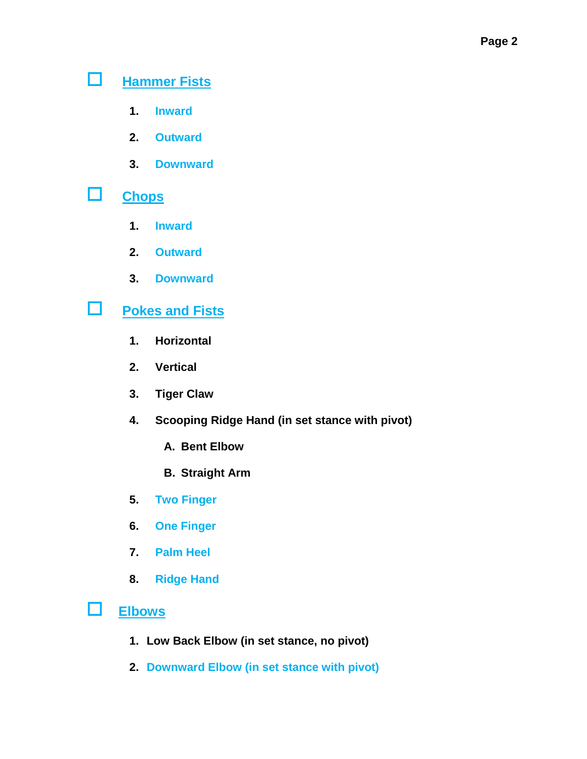# **Hammer Fists**

- **1. Inward**
- **2. Outward**
- **3. Downward**

## **Chops**

- **1. Inward**
- **2. Outward**
- **3. Downward**

# **Pokes and Fists**

- **1. Horizontal**
- **2. Vertical**
- **3. Tiger Claw**
- **4. Scooping Ridge Hand (in set stance with pivot)**
	- **A. Bent Elbow**
	- **B. Straight Arm**
- **5. Two Finger**
- **6. One Finger**
- **7. Palm Heel**
- **8. Ridge Hand**
- **Elbows**
	- **1. Low Back Elbow (in set stance, no pivot)**
	- **2. Downward Elbow (in set stance with pivot)**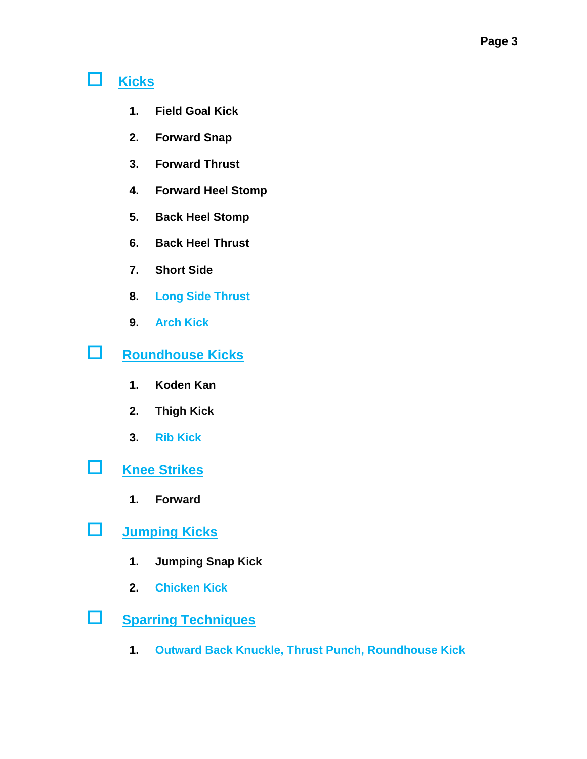# **Kicks**

- **1. Field Goal Kick**
- **2. Forward Snap**
- **3. Forward Thrust**
- **4. Forward Heel Stomp**
- **5. Back Heel Stomp**
- **6. Back Heel Thrust**
- **7. Short Side**
- **8. Long Side Thrust**
- **9. Arch Kick**

# **Roundhouse Kicks**

- **1. Koden Kan**
- **2. Thigh Kick**
- **3. Rib Kick**
- **Knee Strikes**
	- **1. Forward**
- **Jumping Kicks**
	- **1. Jumping Snap Kick**
	- **2. Chicken Kick**
- **Sparring Techniques**
	- **1. Outward Back Knuckle, Thrust Punch, Roundhouse Kick**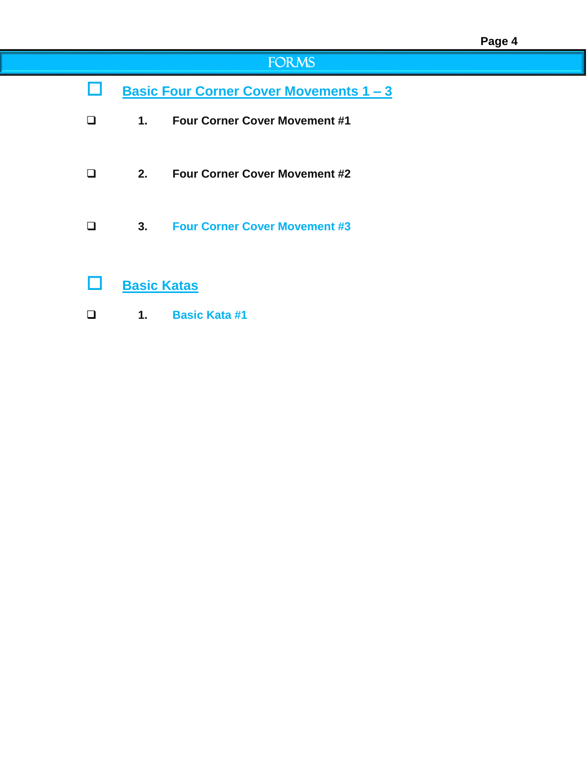# FORMS

- **Basic Four Corner Cover Movements 1 – 3**
- **1. Four Corner Cover Movement #1**
- **2. Four Corner Cover Movement #2**
- **3. Four Corner Cover Movement #3**
- **Basic Katas**
- **1. Basic Kata #1**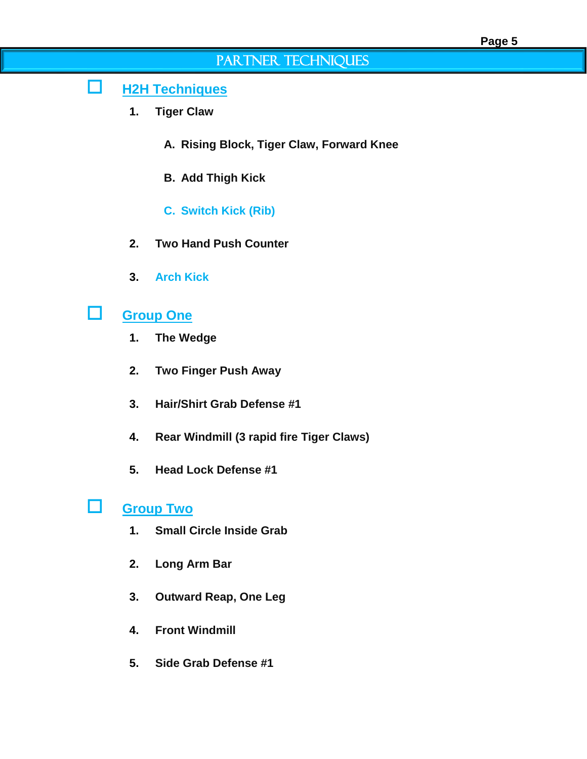### PARTNER TECHNIQUES

#### **H2H Techniques**

- **1. Tiger Claw**
	- **A. Rising Block, Tiger Claw, Forward Knee**
	- **B. Add Thigh Kick**
	- **C. Switch Kick (Rib)**
- **2. Two Hand Push Counter**
- **3. Arch Kick**

### **Group One**

- **1. The Wedge**
- **2. Two Finger Push Away**
- **3. Hair/Shirt Grab Defense #1**
- **4. Rear Windmill (3 rapid fire Tiger Claws)**
- **5. Head Lock Defense #1**

## **Group Two**

- **1. Small Circle Inside Grab**
- **2. Long Arm Bar**
- **3. Outward Reap, One Leg**
- **4. Front Windmill**
- **5. Side Grab Defense #1**